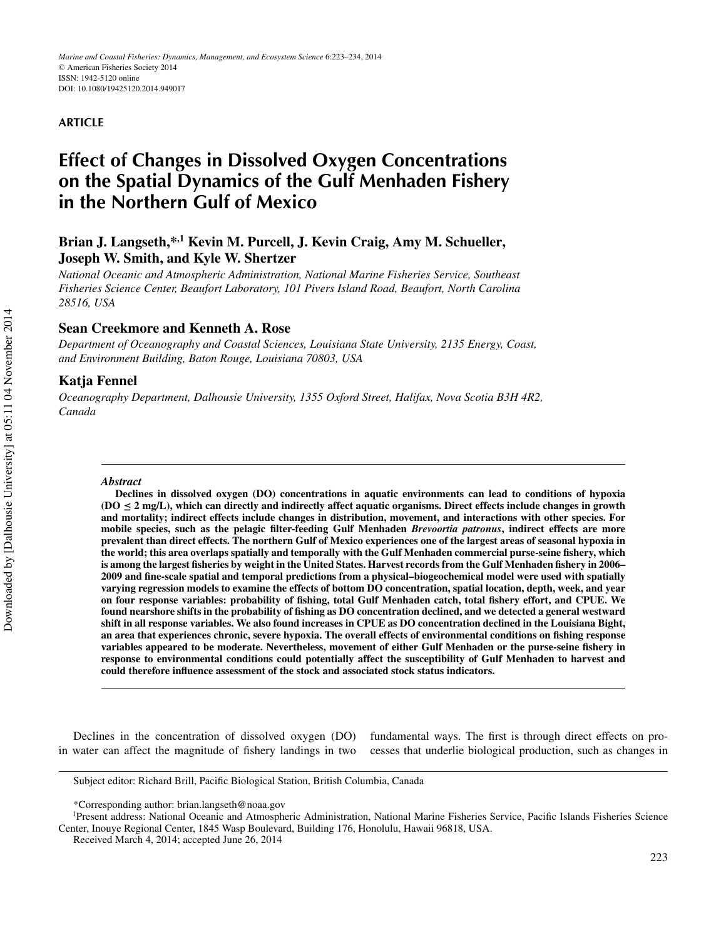# **ARTICLE**

# **Effect of Changes in Dissolved Oxygen Concentrations on the Spatial Dynamics of the Gulf Menhaden Fishery in the Northern Gulf of Mexico**

# **Brian J. Langseth,\*,1 Kevin M. Purcell, J. Kevin Craig, Amy M. Schueller, Joseph W. Smith, and Kyle W. Shertzer**

*National Oceanic and Atmospheric Administration, National Marine Fisheries Service, Southeast Fisheries Science Center, Beaufort Laboratory, 101 Pivers Island Road, Beaufort, North Carolina 28516, USA*

# **Sean Creekmore and Kenneth A. Rose**

*Department of Oceanography and Coastal Sciences, Louisiana State University, 2135 Energy, Coast, and Environment Building, Baton Rouge, Louisiana 70803, USA*

# **Katja Fennel**

*Oceanography Department, Dalhousie University, 1355 Oxford Street, Halifax, Nova Scotia B3H 4R2, Canada*

#### *Abstract*

**Declines in dissolved oxygen (DO) concentrations in aquatic environments can lead to conditions of hypoxia (DO** ≤ **2 mg/L), which can directly and indirectly affect aquatic organisms. Direct effects include changes in growth and mortality; indirect effects include changes in distribution, movement, and interactions with other species. For mobile species, such as the pelagic filter-feeding Gulf Menhaden** *Brevoortia patronus***, indirect effects are more prevalent than direct effects. The northern Gulf of Mexico experiences one of the largest areas of seasonal hypoxia in the world; this area overlaps spatially and temporally with the Gulf Menhaden commercial purse-seine fishery, which is among the largest fisheries by weight in the United States. Harvest records from the Gulf Menhaden fishery in 2006– 2009 and fine-scale spatial and temporal predictions from a physical–biogeochemical model were used with spatially varying regression models to examine the effects of bottom DO concentration, spatial location, depth, week, and year on four response variables: probability of fishing, total Gulf Menhaden catch, total fishery effort, and CPUE. We found nearshore shifts in the probability of fishing as DO concentration declined, and we detected a general westward shift in all response variables. We also found increases in CPUE as DO concentration declined in the Louisiana Bight, an area that experiences chronic, severe hypoxia. The overall effects of environmental conditions on fishing response variables appeared to be moderate. Nevertheless, movement of either Gulf Menhaden or the purse-seine fishery in response to environmental conditions could potentially affect the susceptibility of Gulf Menhaden to harvest and could therefore influence assessment of the stock and associated stock status indicators.**

Declines in the concentration of dissolved oxygen (DO) in water can affect the magnitude of fishery landings in two fundamental ways. The first is through direct effects on processes that underlie biological production, such as changes in

Subject editor: Richard Brill, Pacific Biological Station, British Columbia, Canada

<sup>\*</sup>Corresponding author: brian.langseth@noaa.gov

<sup>&</sup>lt;sup>1</sup>Present address: National Oceanic and Atmospheric Administration, National Marine Fisheries Service, Pacific Islands Fisheries Science Center, Inouye Regional Center, 1845 Wasp Boulevard, Building 176, Honolulu, Hawaii 96818, USA.

Received March 4, 2014; accepted June 26, 2014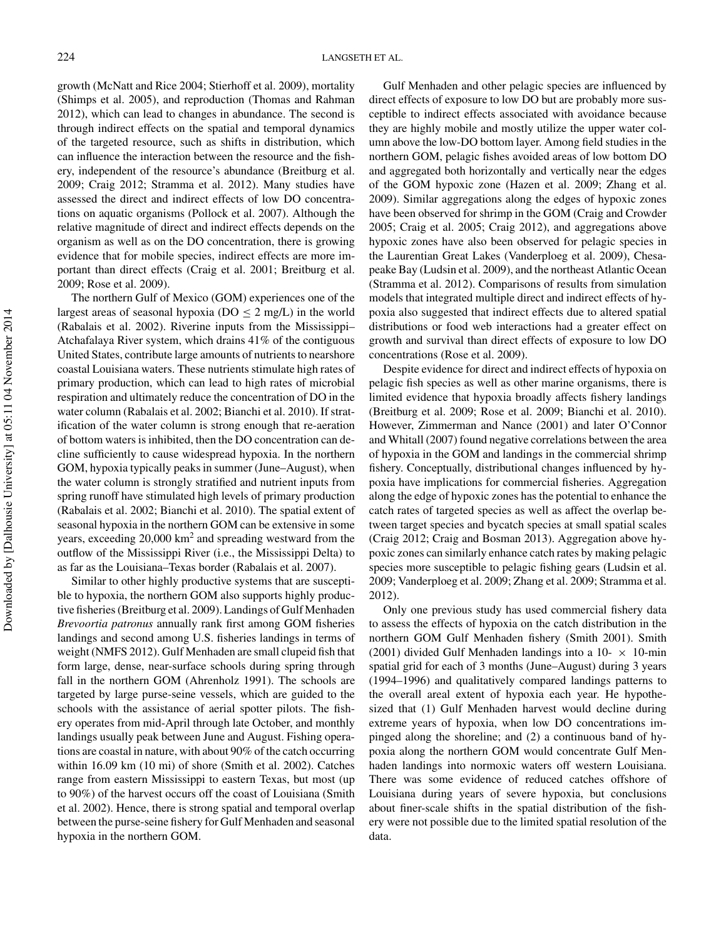growth (McNatt and Rice 2004; Stierhoff et al. 2009), mortality (Shimps et al. 2005), and reproduction (Thomas and Rahman 2012), which can lead to changes in abundance. The second is through indirect effects on the spatial and temporal dynamics of the targeted resource, such as shifts in distribution, which can influence the interaction between the resource and the fishery, independent of the resource's abundance (Breitburg et al. 2009; Craig 2012; Stramma et al. 2012). Many studies have assessed the direct and indirect effects of low DO concentrations on aquatic organisms (Pollock et al. 2007). Although the relative magnitude of direct and indirect effects depends on the organism as well as on the DO concentration, there is growing evidence that for mobile species, indirect effects are more important than direct effects (Craig et al. 2001; Breitburg et al. 2009; Rose et al. 2009).

The northern Gulf of Mexico (GOM) experiences one of the largest areas of seasonal hypoxia ( $DO \leq 2$  mg/L) in the world (Rabalais et al. 2002). Riverine inputs from the Mississippi– Atchafalaya River system, which drains 41% of the contiguous United States, contribute large amounts of nutrients to nearshore coastal Louisiana waters. These nutrients stimulate high rates of primary production, which can lead to high rates of microbial respiration and ultimately reduce the concentration of DO in the water column (Rabalais et al. 2002; Bianchi et al. 2010). If stratification of the water column is strong enough that re-aeration of bottom waters is inhibited, then the DO concentration can decline sufficiently to cause widespread hypoxia. In the northern GOM, hypoxia typically peaks in summer (June–August), when the water column is strongly stratified and nutrient inputs from spring runoff have stimulated high levels of primary production (Rabalais et al. 2002; Bianchi et al. 2010). The spatial extent of seasonal hypoxia in the northern GOM can be extensive in some years, exceeding  $20,000 \text{ km}^2$  and spreading westward from the outflow of the Mississippi River (i.e., the Mississippi Delta) to as far as the Louisiana–Texas border (Rabalais et al. 2007).

Similar to other highly productive systems that are susceptible to hypoxia, the northern GOM also supports highly productive fisheries (Breitburg et al. 2009). Landings of Gulf Menhaden *Brevoortia patronus* annually rank first among GOM fisheries landings and second among U.S. fisheries landings in terms of weight (NMFS 2012). Gulf Menhaden are small clupeid fish that form large, dense, near-surface schools during spring through fall in the northern GOM (Ahrenholz 1991). The schools are targeted by large purse-seine vessels, which are guided to the schools with the assistance of aerial spotter pilots. The fishery operates from mid-April through late October, and monthly landings usually peak between June and August. Fishing operations are coastal in nature, with about 90% of the catch occurring within 16.09 km (10 mi) of shore (Smith et al. 2002). Catches range from eastern Mississippi to eastern Texas, but most (up to 90%) of the harvest occurs off the coast of Louisiana (Smith et al. 2002). Hence, there is strong spatial and temporal overlap between the purse-seine fishery for Gulf Menhaden and seasonal hypoxia in the northern GOM.

Gulf Menhaden and other pelagic species are influenced by direct effects of exposure to low DO but are probably more susceptible to indirect effects associated with avoidance because they are highly mobile and mostly utilize the upper water column above the low-DO bottom layer. Among field studies in the northern GOM, pelagic fishes avoided areas of low bottom DO and aggregated both horizontally and vertically near the edges of the GOM hypoxic zone (Hazen et al. 2009; Zhang et al. 2009). Similar aggregations along the edges of hypoxic zones have been observed for shrimp in the GOM (Craig and Crowder 2005; Craig et al. 2005; Craig 2012), and aggregations above hypoxic zones have also been observed for pelagic species in the Laurentian Great Lakes (Vanderploeg et al. 2009), Chesapeake Bay (Ludsin et al. 2009), and the northeast Atlantic Ocean (Stramma et al. 2012). Comparisons of results from simulation models that integrated multiple direct and indirect effects of hypoxia also suggested that indirect effects due to altered spatial distributions or food web interactions had a greater effect on growth and survival than direct effects of exposure to low DO concentrations (Rose et al. 2009).

Despite evidence for direct and indirect effects of hypoxia on pelagic fish species as well as other marine organisms, there is limited evidence that hypoxia broadly affects fishery landings (Breitburg et al. 2009; Rose et al. 2009; Bianchi et al. 2010). However, Zimmerman and Nance (2001) and later O'Connor and Whitall (2007) found negative correlations between the area of hypoxia in the GOM and landings in the commercial shrimp fishery. Conceptually, distributional changes influenced by hypoxia have implications for commercial fisheries. Aggregation along the edge of hypoxic zones has the potential to enhance the catch rates of targeted species as well as affect the overlap between target species and bycatch species at small spatial scales (Craig 2012; Craig and Bosman 2013). Aggregation above hypoxic zones can similarly enhance catch rates by making pelagic species more susceptible to pelagic fishing gears (Ludsin et al. 2009; Vanderploeg et al. 2009; Zhang et al. 2009; Stramma et al. 2012).

Only one previous study has used commercial fishery data to assess the effects of hypoxia on the catch distribution in the northern GOM Gulf Menhaden fishery (Smith 2001). Smith (2001) divided Gulf Menhaden landings into a 10-  $\times$  10-min spatial grid for each of 3 months (June–August) during 3 years (1994–1996) and qualitatively compared landings patterns to the overall areal extent of hypoxia each year. He hypothesized that (1) Gulf Menhaden harvest would decline during extreme years of hypoxia, when low DO concentrations impinged along the shoreline; and (2) a continuous band of hypoxia along the northern GOM would concentrate Gulf Menhaden landings into normoxic waters off western Louisiana. There was some evidence of reduced catches offshore of Louisiana during years of severe hypoxia, but conclusions about finer-scale shifts in the spatial distribution of the fishery were not possible due to the limited spatial resolution of the data.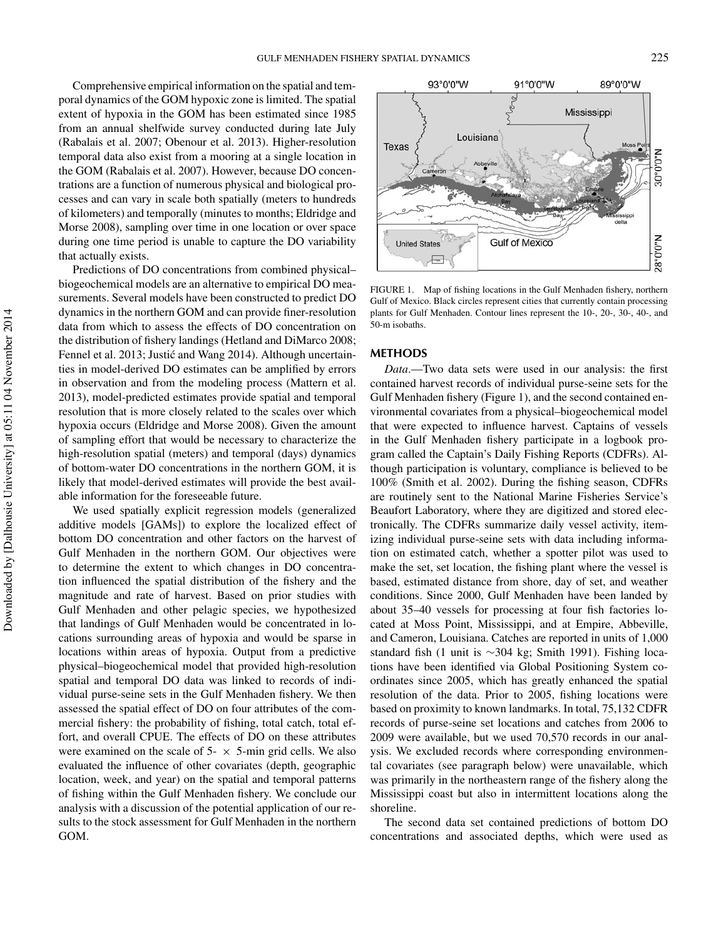Comprehensive empirical information on the spatial and temporal dynamics of the GOM hypoxic zone is limited. The spatial extent of hypoxia in the GOM has been estimated since 1985 from an annual shelfwide survey conducted during late July (Rabalais et al. 2007; Obenour et al. 2013). Higher-resolution temporal data also exist from a mooring at a single location in the GOM (Rabalais et al. 2007). However, because DO concentrations are a function of numerous physical and biological processes and can vary in scale both spatially (meters to hundreds of kilometers) and temporally (minutes to months; Eldridge and Morse 2008), sampling over time in one location or over space during one time period is unable to capture the DO variability that actually exists.

Predictions of DO concentrations from combined physical– biogeochemical models are an alternative to empirical DO measurements. Several models have been constructed to predict DO dynamics in the northern GOM and can provide finer-resolution data from which to assess the effects of DO concentration on the distribution of fishery landings (Hetland and DiMarco 2008; Fennel et al. 2013; Justić and Wang 2014). Although uncertainties in model-derived DO estimates can be amplified by errors in observation and from the modeling process (Mattern et al. 2013), model-predicted estimates provide spatial and temporal resolution that is more closely related to the scales over which hypoxia occurs (Eldridge and Morse 2008). Given the amount of sampling effort that would be necessary to characterize the high-resolution spatial (meters) and temporal (days) dynamics of bottom-water DO concentrations in the northern GOM, it is likely that model-derived estimates will provide the best available information for the foreseeable future.

We used spatially explicit regression models (generalized additive models [GAMs]) to explore the localized effect of bottom DO concentration and other factors on the harvest of Gulf Menhaden in the northern GOM. Our objectives were to determine the extent to which changes in DO concentration influenced the spatial distribution of the fishery and the magnitude and rate of harvest. Based on prior studies with Gulf Menhaden and other pelagic species, we hypothesized that landings of Gulf Menhaden would be concentrated in locations surrounding areas of hypoxia and would be sparse in locations within areas of hypoxia. Output from a predictive physical–biogeochemical model that provided high-resolution spatial and temporal DO data was linked to records of individual purse-seine sets in the Gulf Menhaden fishery. We then assessed the spatial effect of DO on four attributes of the commercial fishery: the probability of fishing, total catch, total effort, and overall CPUE. The effects of DO on these attributes were examined on the scale of  $5- \times 5$ -min grid cells. We also evaluated the influence of other covariates (depth, geographic location, week, and year) on the spatial and temporal patterns of fishing within the Gulf Menhaden fishery. We conclude our analysis with a discussion of the potential application of our results to the stock assessment for Gulf Menhaden in the northern GOM.



FIGURE 1. Map of fishing locations in the Gulf Menhaden fishery, northern Gulf of Mexico. Black circles represent cities that currently contain processing plants for Gulf Menhaden. Contour lines represent the 10-, 20-, 30-, 40-, and 50-m isobaths.

### **METHODS**

*Data*.—Two data sets were used in our analysis: the first contained harvest records of individual purse-seine sets for the Gulf Menhaden fishery (Figure 1), and the second contained environmental covariates from a physical–biogeochemical model that were expected to influence harvest. Captains of vessels in the Gulf Menhaden fishery participate in a logbook program called the Captain's Daily Fishing Reports (CDFRs). Although participation is voluntary, compliance is believed to be 100% (Smith et al. 2002). During the fishing season, CDFRs are routinely sent to the National Marine Fisheries Service's Beaufort Laboratory, where they are digitized and stored electronically. The CDFRs summarize daily vessel activity, itemizing individual purse-seine sets with data including information on estimated catch, whether a spotter pilot was used to make the set, set location, the fishing plant where the vessel is based, estimated distance from shore, day of set, and weather conditions. Since 2000, Gulf Menhaden have been landed by about 35–40 vessels for processing at four fish factories located at Moss Point, Mississippi, and at Empire, Abbeville, and Cameron, Louisiana. Catches are reported in units of 1,000 standard fish (1 unit is ∼304 kg; Smith 1991). Fishing locations have been identified via Global Positioning System coordinates since 2005, which has greatly enhanced the spatial resolution of the data. Prior to 2005, fishing locations were based on proximity to known landmarks. In total, 75,132 CDFR records of purse-seine set locations and catches from 2006 to 2009 were available, but we used 70,570 records in our analysis. We excluded records where corresponding environmental covariates (see paragraph below) were unavailable, which was primarily in the northeastern range of the fishery along the Mississippi coast but also in intermittent locations along the shoreline.

The second data set contained predictions of bottom DO concentrations and associated depths, which were used as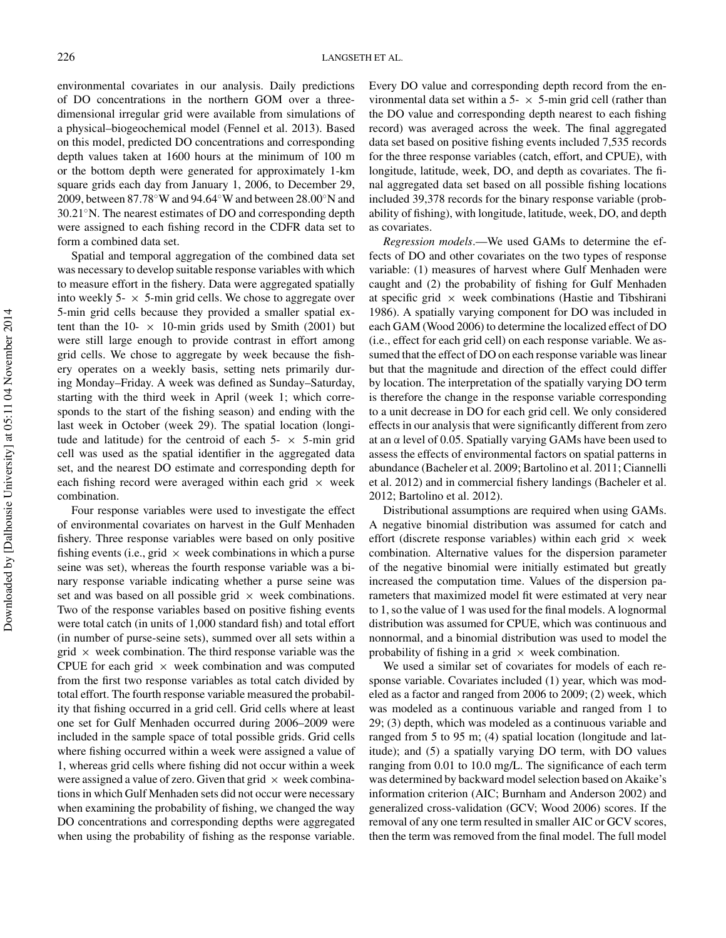environmental covariates in our analysis. Daily predictions of DO concentrations in the northern GOM over a threedimensional irregular grid were available from simulations of a physical–biogeochemical model (Fennel et al. 2013). Based on this model, predicted DO concentrations and corresponding depth values taken at 1600 hours at the minimum of 100 m or the bottom depth were generated for approximately 1-km square grids each day from January 1, 2006, to December 29, 2009, between 87.78◦W and 94.64◦W and between 28.00◦N and 30.21◦N. The nearest estimates of DO and corresponding depth were assigned to each fishing record in the CDFR data set to form a combined data set.

Spatial and temporal aggregation of the combined data set was necessary to develop suitable response variables with which to measure effort in the fishery. Data were aggregated spatially into weekly 5-  $\times$  5-min grid cells. We chose to aggregate over 5-min grid cells because they provided a smaller spatial extent than the 10-  $\times$  10-min grids used by Smith (2001) but were still large enough to provide contrast in effort among grid cells. We chose to aggregate by week because the fishery operates on a weekly basis, setting nets primarily during Monday–Friday. A week was defined as Sunday–Saturday, starting with the third week in April (week 1; which corresponds to the start of the fishing season) and ending with the last week in October (week 29). The spatial location (longitude and latitude) for the centroid of each  $5- \times 5$ -min grid cell was used as the spatial identifier in the aggregated data set, and the nearest DO estimate and corresponding depth for each fishing record were averaged within each grid  $\times$  week combination.

Four response variables were used to investigate the effect of environmental covariates on harvest in the Gulf Menhaden fishery. Three response variables were based on only positive fishing events (i.e., grid  $\times$  week combinations in which a purse seine was set), whereas the fourth response variable was a binary response variable indicating whether a purse seine was set and was based on all possible grid  $\times$  week combinations. Two of the response variables based on positive fishing events were total catch (in units of 1,000 standard fish) and total effort (in number of purse-seine sets), summed over all sets within a grid  $\times$  week combination. The third response variable was the CPUE for each grid  $\times$  week combination and was computed from the first two response variables as total catch divided by total effort. The fourth response variable measured the probability that fishing occurred in a grid cell. Grid cells where at least one set for Gulf Menhaden occurred during 2006–2009 were included in the sample space of total possible grids. Grid cells where fishing occurred within a week were assigned a value of 1, whereas grid cells where fishing did not occur within a week were assigned a value of zero. Given that grid  $\times$  week combinations in which Gulf Menhaden sets did not occur were necessary when examining the probability of fishing, we changed the way DO concentrations and corresponding depths were aggregated when using the probability of fishing as the response variable.

Every DO value and corresponding depth record from the environmental data set within a  $5- \times 5$ -min grid cell (rather than the DO value and corresponding depth nearest to each fishing record) was averaged across the week. The final aggregated data set based on positive fishing events included 7,535 records for the three response variables (catch, effort, and CPUE), with longitude, latitude, week, DO, and depth as covariates. The final aggregated data set based on all possible fishing locations included 39,378 records for the binary response variable (probability of fishing), with longitude, latitude, week, DO, and depth as covariates.

*Regression models*.—We used GAMs to determine the effects of DO and other covariates on the two types of response variable: (1) measures of harvest where Gulf Menhaden were caught and (2) the probability of fishing for Gulf Menhaden at specific grid  $\times$  week combinations (Hastie and Tibshirani 1986). A spatially varying component for DO was included in each GAM (Wood 2006) to determine the localized effect of DO (i.e., effect for each grid cell) on each response variable. We assumed that the effect of DO on each response variable was linear but that the magnitude and direction of the effect could differ by location. The interpretation of the spatially varying DO term is therefore the change in the response variable corresponding to a unit decrease in DO for each grid cell. We only considered effects in our analysis that were significantly different from zero at an α level of 0.05. Spatially varying GAMs have been used to assess the effects of environmental factors on spatial patterns in abundance (Bacheler et al. 2009; Bartolino et al. 2011; Ciannelli et al. 2012) and in commercial fishery landings (Bacheler et al. 2012; Bartolino et al. 2012).

Distributional assumptions are required when using GAMs. A negative binomial distribution was assumed for catch and effort (discrete response variables) within each grid  $\times$  week combination. Alternative values for the dispersion parameter of the negative binomial were initially estimated but greatly increased the computation time. Values of the dispersion parameters that maximized model fit were estimated at very near to 1, so the value of 1 was used for the final models. A lognormal distribution was assumed for CPUE, which was continuous and nonnormal, and a binomial distribution was used to model the probability of fishing in a grid  $\times$  week combination.

We used a similar set of covariates for models of each response variable. Covariates included (1) year, which was modeled as a factor and ranged from 2006 to 2009; (2) week, which was modeled as a continuous variable and ranged from 1 to 29; (3) depth, which was modeled as a continuous variable and ranged from 5 to 95 m; (4) spatial location (longitude and latitude); and (5) a spatially varying DO term, with DO values ranging from 0.01 to 10.0 mg/L. The significance of each term was determined by backward model selection based on Akaike's information criterion (AIC; Burnham and Anderson 2002) and generalized cross-validation (GCV; Wood 2006) scores. If the removal of any one term resulted in smaller AIC or GCV scores, then the term was removed from the final model. The full model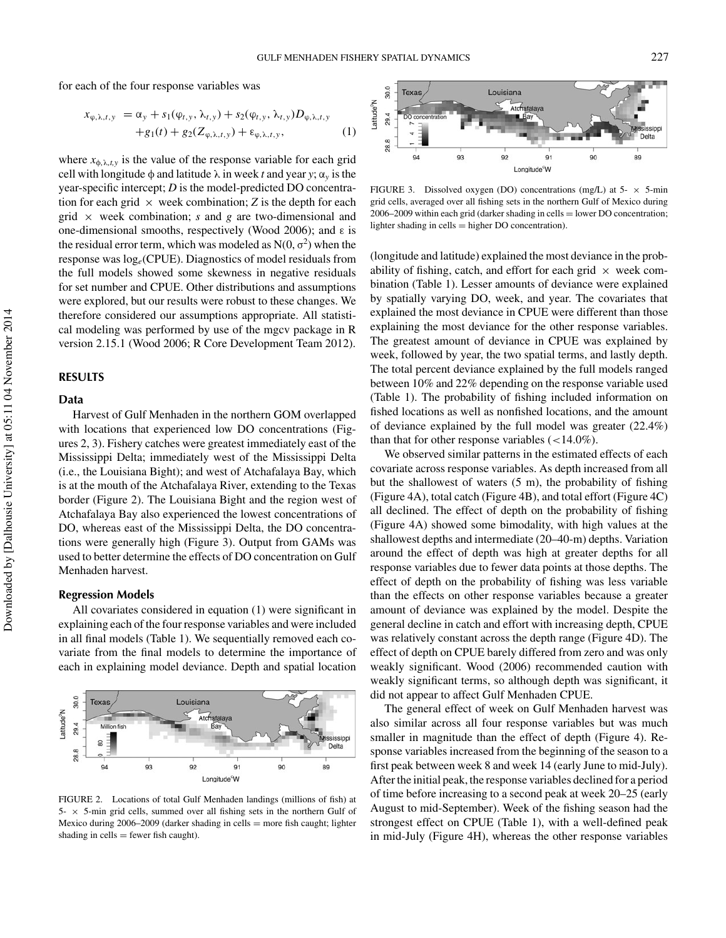for each of the four response variables was

$$
x_{\varphi,\lambda,t,y} = \alpha_y + s_1(\varphi_{t,y}, \lambda_{t,y}) + s_2(\varphi_{t,y}, \lambda_{t,y})D_{\varphi,\lambda,t,y} + g_1(t) + g_2(Z_{\varphi,\lambda,t,y}) + \varepsilon_{\varphi,\lambda,t,y},
$$
 (1)

where  $x_{\phi, \lambda, t, y}$  is the value of the response variable for each grid cell with longitude  $\phi$  and latitude  $\lambda$  in week *t* and year *y*;  $\alpha$ <sub>*v*</sub> is the year-specific intercept; *D* is the model-predicted DO concentration for each grid  $\times$  week combination; Z is the depth for each grid  $\times$  week combination; *s* and *g* are two-dimensional and one-dimensional smooths, respectively (Wood 2006); and  $\varepsilon$  is the residual error term, which was modeled as  $N(0, \sigma^2)$  when the response was log*e*(CPUE). Diagnostics of model residuals from the full models showed some skewness in negative residuals for set number and CPUE. Other distributions and assumptions were explored, but our results were robust to these changes. We therefore considered our assumptions appropriate. All statistical modeling was performed by use of the mgcv package in R version 2.15.1 (Wood 2006; R Core Development Team 2012).

# **RESULTS**

#### **Data**

Harvest of Gulf Menhaden in the northern GOM overlapped with locations that experienced low DO concentrations (Figures 2, 3). Fishery catches were greatest immediately east of the Mississippi Delta; immediately west of the Mississippi Delta (i.e., the Louisiana Bight); and west of Atchafalaya Bay, which is at the mouth of the Atchafalaya River, extending to the Texas border (Figure 2). The Louisiana Bight and the region west of Atchafalaya Bay also experienced the lowest concentrations of DO, whereas east of the Mississippi Delta, the DO concentrations were generally high (Figure 3). Output from GAMs was used to better determine the effects of DO concentration on Gulf Menhaden harvest.

#### **Regression Models**

All covariates considered in equation (1) were significant in explaining each of the four response variables and were included in all final models (Table 1). We sequentially removed each covariate from the final models to determine the importance of each in explaining model deviance. Depth and spatial location



FIGURE 2. Locations of total Gulf Menhaden landings (millions of fish) at  $5- \times 5$ -min grid cells, summed over all fishing sets in the northern Gulf of Mexico during  $2006-2009$  (darker shading in cells = more fish caught; lighter shading in cells  $=$  fewer fish caught).



FIGURE 3. Dissolved oxygen (DO) concentrations (mg/L) at  $5- \times 5$ -min grid cells, averaged over all fishing sets in the northern Gulf of Mexico during 2006–2009 within each grid (darker shading in cells = lower DO concentration; lighter shading in cells  $=$  higher DO concentration).

(longitude and latitude) explained the most deviance in the probability of fishing, catch, and effort for each grid  $\times$  week combination (Table 1). Lesser amounts of deviance were explained by spatially varying DO, week, and year. The covariates that explained the most deviance in CPUE were different than those explaining the most deviance for the other response variables. The greatest amount of deviance in CPUE was explained by week, followed by year, the two spatial terms, and lastly depth. The total percent deviance explained by the full models ranged between 10% and 22% depending on the response variable used (Table 1). The probability of fishing included information on fished locations as well as nonfished locations, and the amount of deviance explained by the full model was greater (22.4%) than that for other response variables  $\left($  < 14.0%).

We observed similar patterns in the estimated effects of each covariate across response variables. As depth increased from all but the shallowest of waters (5 m), the probability of fishing (Figure 4A), total catch (Figure 4B), and total effort (Figure 4C) all declined. The effect of depth on the probability of fishing (Figure 4A) showed some bimodality, with high values at the shallowest depths and intermediate (20–40-m) depths. Variation around the effect of depth was high at greater depths for all response variables due to fewer data points at those depths. The effect of depth on the probability of fishing was less variable than the effects on other response variables because a greater amount of deviance was explained by the model. Despite the general decline in catch and effort with increasing depth, CPUE was relatively constant across the depth range (Figure 4D). The effect of depth on CPUE barely differed from zero and was only weakly significant. Wood (2006) recommended caution with weakly significant terms, so although depth was significant, it did not appear to affect Gulf Menhaden CPUE.

The general effect of week on Gulf Menhaden harvest was also similar across all four response variables but was much smaller in magnitude than the effect of depth (Figure 4). Response variables increased from the beginning of the season to a first peak between week 8 and week 14 (early June to mid-July). After the initial peak, the response variables declined for a period of time before increasing to a second peak at week 20–25 (early August to mid-September). Week of the fishing season had the strongest effect on CPUE (Table 1), with a well-defined peak in mid-July (Figure 4H), whereas the other response variables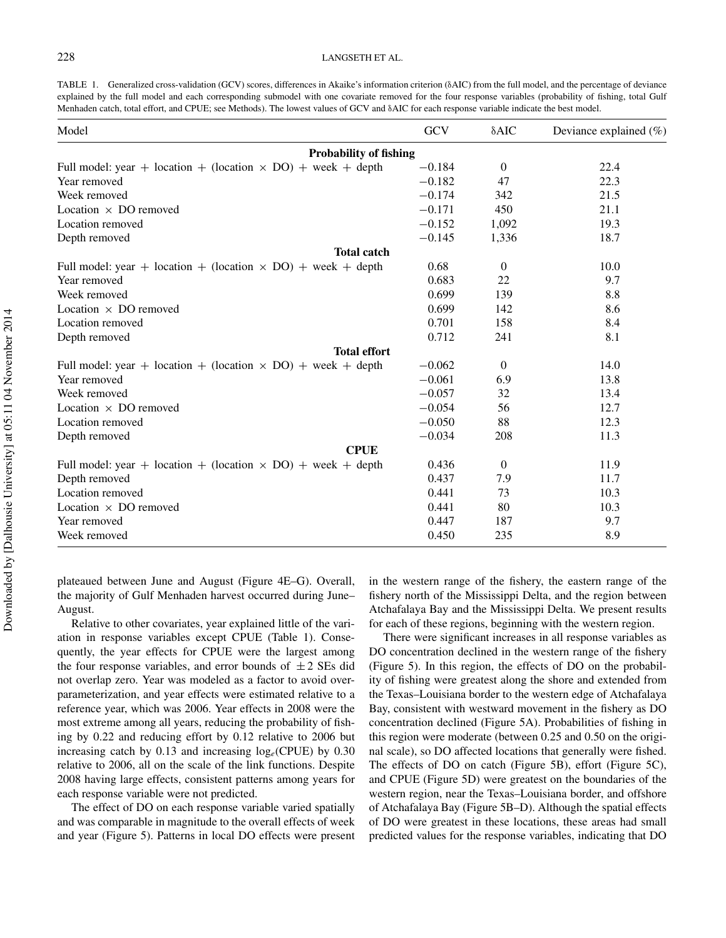TABLE 1. Generalized cross-validation (GCV) scores, differences in Akaike's information criterion (δAIC) from the full model, and the percentage of deviance explained by the full model and each corresponding submodel with one covariate removed for the four response variables (probability of fishing, total Gulf Menhaden catch, total effort, and CPUE; see Methods). The lowest values of GCV and δAIC for each response variable indicate the best model.

| Model                                                               | <b>GCV</b> | $\delta AIC$   | Deviance explained $(\%)$ |
|---------------------------------------------------------------------|------------|----------------|---------------------------|
| <b>Probability of fishing</b>                                       |            |                |                           |
| Full model: year + location + (location $\times$ DO) + week + depth | $-0.184$   | $\theta$       | 22.4                      |
| Year removed                                                        | $-0.182$   | 47             | 22.3                      |
| Week removed                                                        | $-0.174$   | 342            | 21.5                      |
| Location $\times$ DO removed                                        | $-0.171$   | 450            | 21.1                      |
| Location removed                                                    | $-0.152$   | 1,092          | 19.3                      |
| Depth removed                                                       | $-0.145$   | 1,336          | 18.7                      |
| <b>Total catch</b>                                                  |            |                |                           |
| Full model: year + location + (location $\times$ DO) + week + depth | 0.68       | $\theta$       | 10.0                      |
| Year removed                                                        | 0.683      | 22             | 9.7                       |
| Week removed                                                        | 0.699      | 139            | 8.8                       |
| Location $\times$ DO removed                                        | 0.699      | 142            | 8.6                       |
| Location removed                                                    | 0.701      | 158            | 8.4                       |
| Depth removed                                                       | 0.712      | 241            | 8.1                       |
| <b>Total effort</b>                                                 |            |                |                           |
| Full model: year + location + (location $\times$ DO) + week + depth | $-0.062$   | $\theta$       | 14.0                      |
| Year removed                                                        | $-0.061$   | 6.9            | 13.8                      |
| Week removed                                                        | $-0.057$   | 32             | 13.4                      |
| Location $\times$ DO removed                                        | $-0.054$   | 56             | 12.7                      |
| Location removed                                                    | $-0.050$   | 88             | 12.3                      |
| Depth removed                                                       | $-0.034$   | 208            | 11.3                      |
| <b>CPUE</b>                                                         |            |                |                           |
| Full model: year + location + (location $\times$ DO) + week + depth | 0.436      | $\overline{0}$ | 11.9                      |
| Depth removed                                                       | 0.437      | 7.9            | 11.7                      |
| Location removed                                                    | 0.441      | 73             | 10.3                      |
| Location $\times$ DO removed                                        | 0.441      | 80             | 10.3                      |
| Year removed                                                        | 0.447      | 187            | 9.7                       |
| Week removed                                                        | 0.450      | 235            | 8.9                       |

plateaued between June and August (Figure 4E–G). Overall, the majority of Gulf Menhaden harvest occurred during June– August.

Relative to other covariates, year explained little of the variation in response variables except CPUE (Table 1). Consequently, the year effects for CPUE were the largest among the four response variables, and error bounds of  $\pm 2$  SEs did not overlap zero. Year was modeled as a factor to avoid overparameterization, and year effects were estimated relative to a reference year, which was 2006. Year effects in 2008 were the most extreme among all years, reducing the probability of fishing by 0.22 and reducing effort by 0.12 relative to 2006 but increasing catch by  $0.13$  and increasing  $log_e$ (CPUE) by  $0.30$ relative to 2006, all on the scale of the link functions. Despite 2008 having large effects, consistent patterns among years for each response variable were not predicted.

The effect of DO on each response variable varied spatially and was comparable in magnitude to the overall effects of week and year (Figure 5). Patterns in local DO effects were present in the western range of the fishery, the eastern range of the fishery north of the Mississippi Delta, and the region between Atchafalaya Bay and the Mississippi Delta. We present results for each of these regions, beginning with the western region.

There were significant increases in all response variables as DO concentration declined in the western range of the fishery (Figure 5). In this region, the effects of DO on the probability of fishing were greatest along the shore and extended from the Texas–Louisiana border to the western edge of Atchafalaya Bay, consistent with westward movement in the fishery as DO concentration declined (Figure 5A). Probabilities of fishing in this region were moderate (between 0.25 and 0.50 on the original scale), so DO affected locations that generally were fished. The effects of DO on catch (Figure 5B), effort (Figure 5C), and CPUE (Figure 5D) were greatest on the boundaries of the western region, near the Texas–Louisiana border, and offshore of Atchafalaya Bay (Figure 5B–D). Although the spatial effects of DO were greatest in these locations, these areas had small predicted values for the response variables, indicating that DO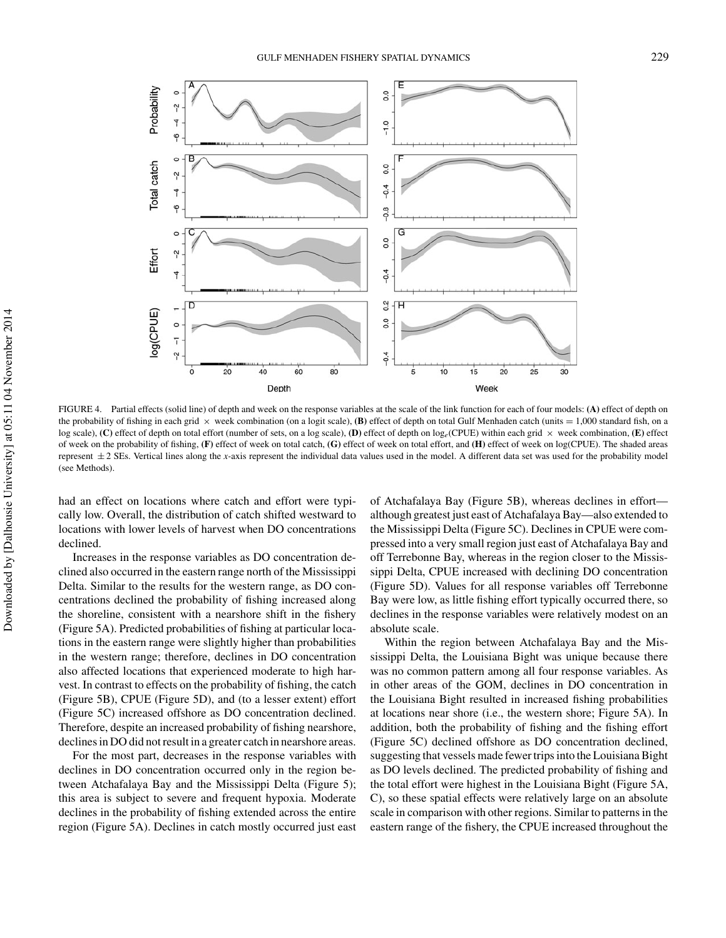

FIGURE 4. Partial effects (solid line) of depth and week on the response variables at the scale of the link function for each of four models: **(A)** effect of depth on the probability of fishing in each grid  $\times$  week combination (on a logit scale), **(B)** effect of depth on total Gulf Menhaden catch (units = 1,000 standard fish, on a log scale), **(C)** effect of depth on total effort (number of sets, on a log scale), **(D)** effect of depth on log<sub>e</sub>(CPUE) within each grid  $\times$  week combination, **(E)** effect of week on the probability of fishing, **(F)** effect of week on total catch, **(G)** effect of week on total effort, and **(H)** effect of week on log(CPUE). The shaded areas represent ± 2 SEs. Vertical lines along the *x-*axis represent the individual data values used in the model. A different data set was used for the probability model (see Methods).

had an effect on locations where catch and effort were typically low. Overall, the distribution of catch shifted westward to locations with lower levels of harvest when DO concentrations declined.

Increases in the response variables as DO concentration declined also occurred in the eastern range north of the Mississippi Delta. Similar to the results for the western range, as DO concentrations declined the probability of fishing increased along the shoreline, consistent with a nearshore shift in the fishery (Figure 5A). Predicted probabilities of fishing at particular locations in the eastern range were slightly higher than probabilities in the western range; therefore, declines in DO concentration also affected locations that experienced moderate to high harvest. In contrast to effects on the probability of fishing, the catch (Figure 5B), CPUE (Figure 5D), and (to a lesser extent) effort (Figure 5C) increased offshore as DO concentration declined. Therefore, despite an increased probability of fishing nearshore, declines in DO did not result in a greater catch in nearshore areas.

For the most part, decreases in the response variables with declines in DO concentration occurred only in the region between Atchafalaya Bay and the Mississippi Delta (Figure 5); this area is subject to severe and frequent hypoxia. Moderate declines in the probability of fishing extended across the entire region (Figure 5A). Declines in catch mostly occurred just east of Atchafalaya Bay (Figure 5B), whereas declines in effort although greatest just east of Atchafalaya Bay—also extended to the Mississippi Delta (Figure 5C). Declines in CPUE were compressed into a very small region just east of Atchafalaya Bay and off Terrebonne Bay, whereas in the region closer to the Mississippi Delta, CPUE increased with declining DO concentration (Figure 5D). Values for all response variables off Terrebonne Bay were low, as little fishing effort typically occurred there, so declines in the response variables were relatively modest on an absolute scale.

Within the region between Atchafalaya Bay and the Mississippi Delta, the Louisiana Bight was unique because there was no common pattern among all four response variables. As in other areas of the GOM, declines in DO concentration in the Louisiana Bight resulted in increased fishing probabilities at locations near shore (i.e., the western shore; Figure 5A). In addition, both the probability of fishing and the fishing effort (Figure 5C) declined offshore as DO concentration declined, suggesting that vessels made fewer trips into the Louisiana Bight as DO levels declined. The predicted probability of fishing and the total effort were highest in the Louisiana Bight (Figure 5A, C), so these spatial effects were relatively large on an absolute scale in comparison with other regions. Similar to patterns in the eastern range of the fishery, the CPUE increased throughout the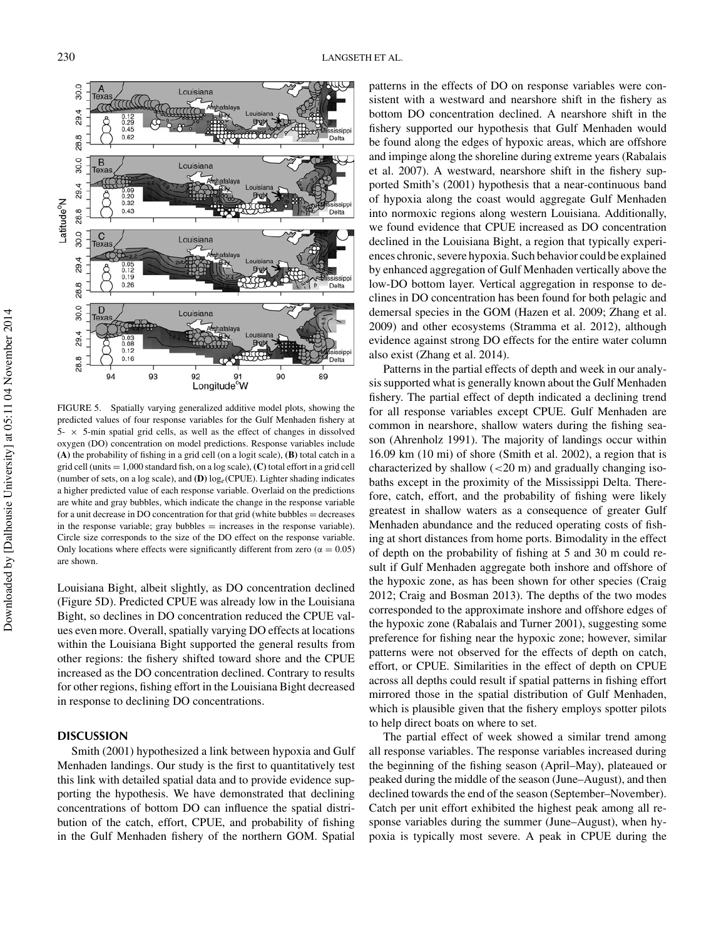29.4  $0.03$ <br> $0.08$ <br> $0.12$ 28.8  $0.16$ 94 93 90 89 92 91 Longitude<sup>o</sup>W FIGURE 5. Spatially varying generalized additive model plots, showing the predicted values of four response variables for the Gulf Menhaden fishery at  $5- \times 5$ -min spatial grid cells, as well as the effect of changes in dissolved oxygen (DO) concentration on model predictions. Response variables include **(A)** the probability of fishing in a grid cell (on a logit scale), **(B)** total catch in a grid cell (units = 1,000 standard fish, on a log scale), **(C)** total effort in a grid cell

(number of sets, on a log scale), and **(D)** log*e*(CPUE). Lighter shading indicates a higher predicted value of each response variable. Overlaid on the predictions are white and gray bubbles, which indicate the change in the response variable for a unit decrease in DO concentration for that grid (white bubbles = decreases in the response variable; gray bubbles  $=$  increases in the response variable). Circle size corresponds to the size of the DO effect on the response variable. Only locations where effects were significantly different from zero ( $\alpha = 0.05$ ) are shown.

Louisiana Bight, albeit slightly, as DO concentration declined (Figure 5D). Predicted CPUE was already low in the Louisiana Bight, so declines in DO concentration reduced the CPUE values even more. Overall, spatially varying DO effects at locations within the Louisiana Bight supported the general results from other regions: the fishery shifted toward shore and the CPUE increased as the DO concentration declined. Contrary to results for other regions, fishing effort in the Louisiana Bight decreased in response to declining DO concentrations.

# **DISCUSSION**

Smith (2001) hypothesized a link between hypoxia and Gulf Menhaden landings. Our study is the first to quantitatively test this link with detailed spatial data and to provide evidence supporting the hypothesis. We have demonstrated that declining concentrations of bottom DO can influence the spatial distribution of the catch, effort, CPUE, and probability of fishing in the Gulf Menhaden fishery of the northern GOM. Spatial

patterns in the effects of DO on response variables were consistent with a westward and nearshore shift in the fishery as bottom DO concentration declined. A nearshore shift in the fishery supported our hypothesis that Gulf Menhaden would be found along the edges of hypoxic areas, which are offshore and impinge along the shoreline during extreme years (Rabalais et al. 2007). A westward, nearshore shift in the fishery supported Smith's (2001) hypothesis that a near-continuous band of hypoxia along the coast would aggregate Gulf Menhaden into normoxic regions along western Louisiana. Additionally, we found evidence that CPUE increased as DO concentration declined in the Louisiana Bight, a region that typically experiences chronic, severe hypoxia. Such behavior could be explained by enhanced aggregation of Gulf Menhaden vertically above the low-DO bottom layer. Vertical aggregation in response to declines in DO concentration has been found for both pelagic and demersal species in the GOM (Hazen et al. 2009; Zhang et al. 2009) and other ecosystems (Stramma et al. 2012), although evidence against strong DO effects for the entire water column also exist (Zhang et al. 2014).

Patterns in the partial effects of depth and week in our analysis supported what is generally known about the Gulf Menhaden fishery. The partial effect of depth indicated a declining trend for all response variables except CPUE. Gulf Menhaden are common in nearshore, shallow waters during the fishing season (Ahrenholz 1991). The majority of landings occur within 16.09 km (10 mi) of shore (Smith et al. 2002), a region that is characterized by shallow  $(<20 \text{ m})$  and gradually changing isobaths except in the proximity of the Mississippi Delta. Therefore, catch, effort, and the probability of fishing were likely greatest in shallow waters as a consequence of greater Gulf Menhaden abundance and the reduced operating costs of fishing at short distances from home ports. Bimodality in the effect of depth on the probability of fishing at 5 and 30 m could result if Gulf Menhaden aggregate both inshore and offshore of the hypoxic zone, as has been shown for other species (Craig 2012; Craig and Bosman 2013). The depths of the two modes corresponded to the approximate inshore and offshore edges of the hypoxic zone (Rabalais and Turner 2001), suggesting some preference for fishing near the hypoxic zone; however, similar patterns were not observed for the effects of depth on catch, effort, or CPUE. Similarities in the effect of depth on CPUE across all depths could result if spatial patterns in fishing effort mirrored those in the spatial distribution of Gulf Menhaden, which is plausible given that the fishery employs spotter pilots to help direct boats on where to set.

The partial effect of week showed a similar trend among all response variables. The response variables increased during the beginning of the fishing season (April–May), plateaued or peaked during the middle of the season (June–August), and then declined towards the end of the season (September–November). Catch per unit effort exhibited the highest peak among all response variables during the summer (June–August), when hypoxia is typically most severe. A peak in CPUE during the

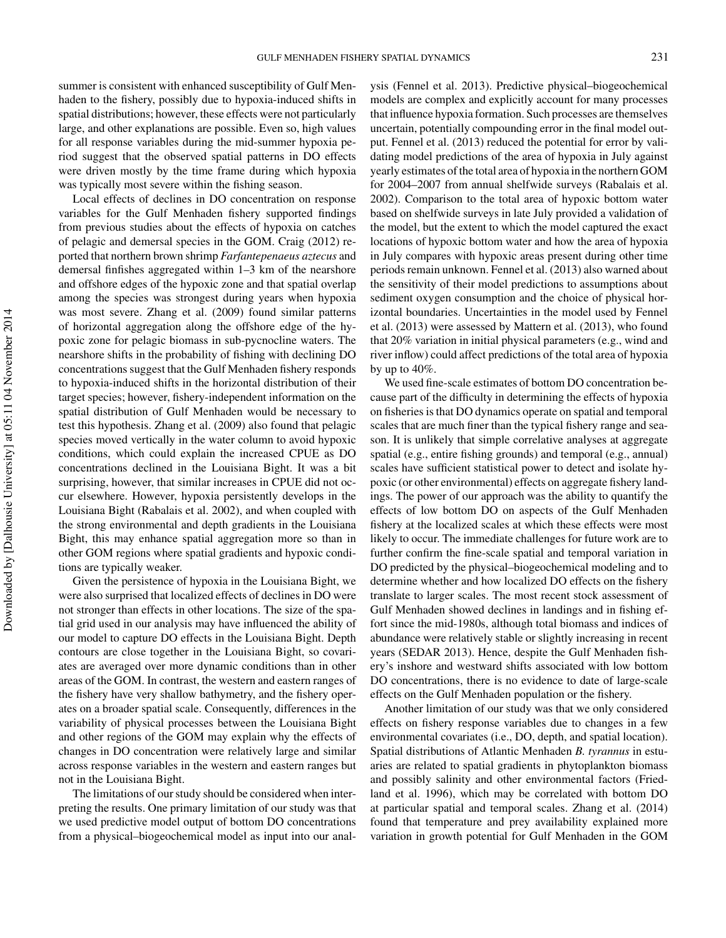summer is consistent with enhanced susceptibility of Gulf Menhaden to the fishery, possibly due to hypoxia-induced shifts in spatial distributions; however, these effects were not particularly large, and other explanations are possible. Even so, high values for all response variables during the mid-summer hypoxia period suggest that the observed spatial patterns in DO effects were driven mostly by the time frame during which hypoxia was typically most severe within the fishing season.

Local effects of declines in DO concentration on response variables for the Gulf Menhaden fishery supported findings from previous studies about the effects of hypoxia on catches of pelagic and demersal species in the GOM. Craig (2012) reported that northern brown shrimp *Farfantepenaeus aztecus* and demersal finfishes aggregated within 1–3 km of the nearshore and offshore edges of the hypoxic zone and that spatial overlap among the species was strongest during years when hypoxia was most severe. Zhang et al. (2009) found similar patterns of horizontal aggregation along the offshore edge of the hypoxic zone for pelagic biomass in sub-pycnocline waters. The nearshore shifts in the probability of fishing with declining DO concentrations suggest that the Gulf Menhaden fishery responds to hypoxia-induced shifts in the horizontal distribution of their target species; however, fishery-independent information on the spatial distribution of Gulf Menhaden would be necessary to test this hypothesis. Zhang et al. (2009) also found that pelagic species moved vertically in the water column to avoid hypoxic conditions, which could explain the increased CPUE as DO concentrations declined in the Louisiana Bight. It was a bit surprising, however, that similar increases in CPUE did not occur elsewhere. However, hypoxia persistently develops in the Louisiana Bight (Rabalais et al. 2002), and when coupled with the strong environmental and depth gradients in the Louisiana Bight, this may enhance spatial aggregation more so than in other GOM regions where spatial gradients and hypoxic conditions are typically weaker.

Given the persistence of hypoxia in the Louisiana Bight, we were also surprised that localized effects of declines in DO were not stronger than effects in other locations. The size of the spatial grid used in our analysis may have influenced the ability of our model to capture DO effects in the Louisiana Bight. Depth contours are close together in the Louisiana Bight, so covariates are averaged over more dynamic conditions than in other areas of the GOM. In contrast, the western and eastern ranges of the fishery have very shallow bathymetry, and the fishery operates on a broader spatial scale. Consequently, differences in the variability of physical processes between the Louisiana Bight and other regions of the GOM may explain why the effects of changes in DO concentration were relatively large and similar across response variables in the western and eastern ranges but not in the Louisiana Bight.

The limitations of our study should be considered when interpreting the results. One primary limitation of our study was that we used predictive model output of bottom DO concentrations from a physical–biogeochemical model as input into our analysis (Fennel et al. 2013). Predictive physical–biogeochemical models are complex and explicitly account for many processes that influence hypoxia formation. Such processes are themselves uncertain, potentially compounding error in the final model output. Fennel et al. (2013) reduced the potential for error by validating model predictions of the area of hypoxia in July against yearly estimates of the total area of hypoxia in the northern GOM for 2004–2007 from annual shelfwide surveys (Rabalais et al. 2002). Comparison to the total area of hypoxic bottom water based on shelfwide surveys in late July provided a validation of the model, but the extent to which the model captured the exact locations of hypoxic bottom water and how the area of hypoxia in July compares with hypoxic areas present during other time periods remain unknown. Fennel et al. (2013) also warned about the sensitivity of their model predictions to assumptions about sediment oxygen consumption and the choice of physical horizontal boundaries. Uncertainties in the model used by Fennel et al. (2013) were assessed by Mattern et al. (2013), who found that 20% variation in initial physical parameters (e.g., wind and river inflow) could affect predictions of the total area of hypoxia by up to 40%.

We used fine-scale estimates of bottom DO concentration because part of the difficulty in determining the effects of hypoxia on fisheries is that DO dynamics operate on spatial and temporal scales that are much finer than the typical fishery range and season. It is unlikely that simple correlative analyses at aggregate spatial (e.g., entire fishing grounds) and temporal (e.g., annual) scales have sufficient statistical power to detect and isolate hypoxic (or other environmental) effects on aggregate fishery landings. The power of our approach was the ability to quantify the effects of low bottom DO on aspects of the Gulf Menhaden fishery at the localized scales at which these effects were most likely to occur. The immediate challenges for future work are to further confirm the fine-scale spatial and temporal variation in DO predicted by the physical–biogeochemical modeling and to determine whether and how localized DO effects on the fishery translate to larger scales. The most recent stock assessment of Gulf Menhaden showed declines in landings and in fishing effort since the mid-1980s, although total biomass and indices of abundance were relatively stable or slightly increasing in recent years (SEDAR 2013). Hence, despite the Gulf Menhaden fishery's inshore and westward shifts associated with low bottom DO concentrations, there is no evidence to date of large-scale effects on the Gulf Menhaden population or the fishery.

Another limitation of our study was that we only considered effects on fishery response variables due to changes in a few environmental covariates (i.e., DO, depth, and spatial location). Spatial distributions of Atlantic Menhaden *B. tyrannus* in estuaries are related to spatial gradients in phytoplankton biomass and possibly salinity and other environmental factors (Friedland et al. 1996), which may be correlated with bottom DO at particular spatial and temporal scales. Zhang et al. (2014) found that temperature and prey availability explained more variation in growth potential for Gulf Menhaden in the GOM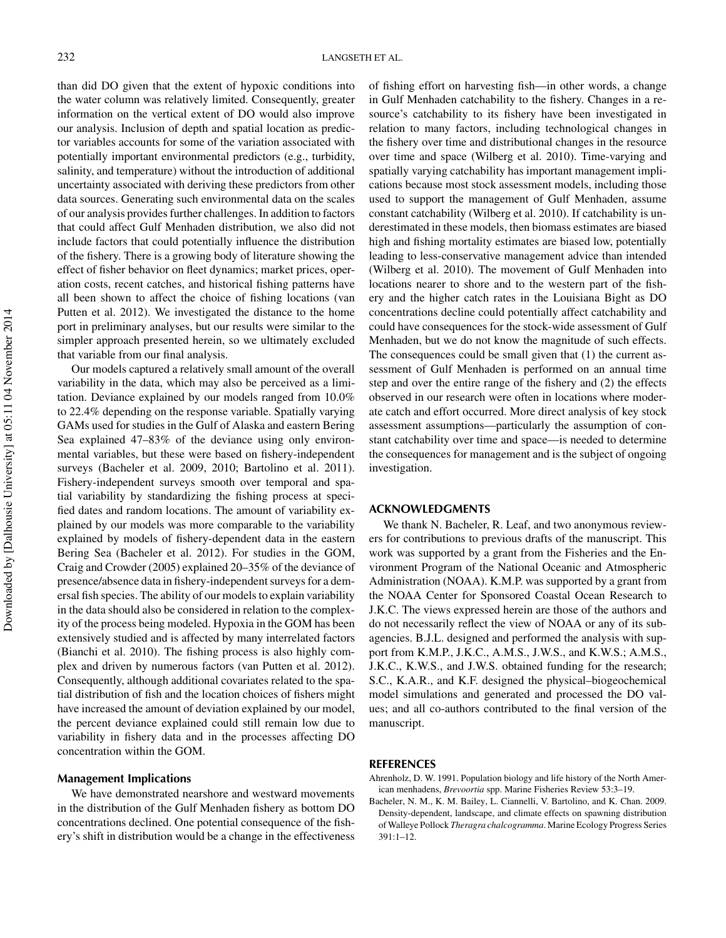than did DO given that the extent of hypoxic conditions into the water column was relatively limited. Consequently, greater information on the vertical extent of DO would also improve our analysis. Inclusion of depth and spatial location as predictor variables accounts for some of the variation associated with potentially important environmental predictors (e.g., turbidity, salinity, and temperature) without the introduction of additional uncertainty associated with deriving these predictors from other data sources. Generating such environmental data on the scales of our analysis provides further challenges. In addition to factors that could affect Gulf Menhaden distribution, we also did not include factors that could potentially influence the distribution of the fishery. There is a growing body of literature showing the effect of fisher behavior on fleet dynamics; market prices, operation costs, recent catches, and historical fishing patterns have all been shown to affect the choice of fishing locations (van Putten et al. 2012). We investigated the distance to the home port in preliminary analyses, but our results were similar to the simpler approach presented herein, so we ultimately excluded that variable from our final analysis.

Our models captured a relatively small amount of the overall variability in the data, which may also be perceived as a limitation. Deviance explained by our models ranged from 10.0% to 22.4% depending on the response variable. Spatially varying GAMs used for studies in the Gulf of Alaska and eastern Bering Sea explained 47–83% of the deviance using only environmental variables, but these were based on fishery-independent surveys (Bacheler et al. 2009, 2010; Bartolino et al. 2011). Fishery-independent surveys smooth over temporal and spatial variability by standardizing the fishing process at specified dates and random locations. The amount of variability explained by our models was more comparable to the variability explained by models of fishery-dependent data in the eastern Bering Sea (Bacheler et al. 2012). For studies in the GOM, Craig and Crowder (2005) explained 20–35% of the deviance of presence/absence data in fishery-independent surveys for a demersal fish species. The ability of our models to explain variability in the data should also be considered in relation to the complexity of the process being modeled. Hypoxia in the GOM has been extensively studied and is affected by many interrelated factors (Bianchi et al. 2010). The fishing process is also highly complex and driven by numerous factors (van Putten et al. 2012). Consequently, although additional covariates related to the spatial distribution of fish and the location choices of fishers might have increased the amount of deviation explained by our model, the percent deviance explained could still remain low due to variability in fishery data and in the processes affecting DO concentration within the GOM.

#### **Management Implications**

We have demonstrated nearshore and westward movements in the distribution of the Gulf Menhaden fishery as bottom DO concentrations declined. One potential consequence of the fishery's shift in distribution would be a change in the effectiveness of fishing effort on harvesting fish—in other words, a change in Gulf Menhaden catchability to the fishery. Changes in a resource's catchability to its fishery have been investigated in relation to many factors, including technological changes in the fishery over time and distributional changes in the resource over time and space (Wilberg et al. 2010). Time-varying and spatially varying catchability has important management implications because most stock assessment models, including those used to support the management of Gulf Menhaden, assume constant catchability (Wilberg et al. 2010). If catchability is underestimated in these models, then biomass estimates are biased high and fishing mortality estimates are biased low, potentially leading to less-conservative management advice than intended (Wilberg et al. 2010). The movement of Gulf Menhaden into locations nearer to shore and to the western part of the fishery and the higher catch rates in the Louisiana Bight as DO concentrations decline could potentially affect catchability and could have consequences for the stock-wide assessment of Gulf Menhaden, but we do not know the magnitude of such effects. The consequences could be small given that (1) the current assessment of Gulf Menhaden is performed on an annual time step and over the entire range of the fishery and (2) the effects observed in our research were often in locations where moderate catch and effort occurred. More direct analysis of key stock assessment assumptions—particularly the assumption of constant catchability over time and space—is needed to determine the consequences for management and is the subject of ongoing investigation.

#### **ACKNOWLEDGMENTS**

We thank N. Bacheler, R. Leaf, and two anonymous reviewers for contributions to previous drafts of the manuscript. This work was supported by a grant from the Fisheries and the Environment Program of the National Oceanic and Atmospheric Administration (NOAA). K.M.P. was supported by a grant from the NOAA Center for Sponsored Coastal Ocean Research to J.K.C. The views expressed herein are those of the authors and do not necessarily reflect the view of NOAA or any of its subagencies. B.J.L. designed and performed the analysis with support from K.M.P., J.K.C., A.M.S., J.W.S., and K.W.S.; A.M.S., J.K.C., K.W.S., and J.W.S. obtained funding for the research; S.C., K.A.R., and K.F. designed the physical–biogeochemical model simulations and generated and processed the DO values; and all co-authors contributed to the final version of the manuscript.

#### **REFERENCES**

- Ahrenholz, D. W. 1991. Population biology and life history of the North American menhadens, *Brevoortia* spp. Marine Fisheries Review 53:3–19.
- Bacheler, N. M., K. M. Bailey, L. Ciannelli, V. Bartolino, and K. Chan. 2009. Density-dependent, landscape, and climate effects on spawning distribution of Walleye Pollock *Theragra chalcogramma*. Marine Ecology Progress Series 391:1–12.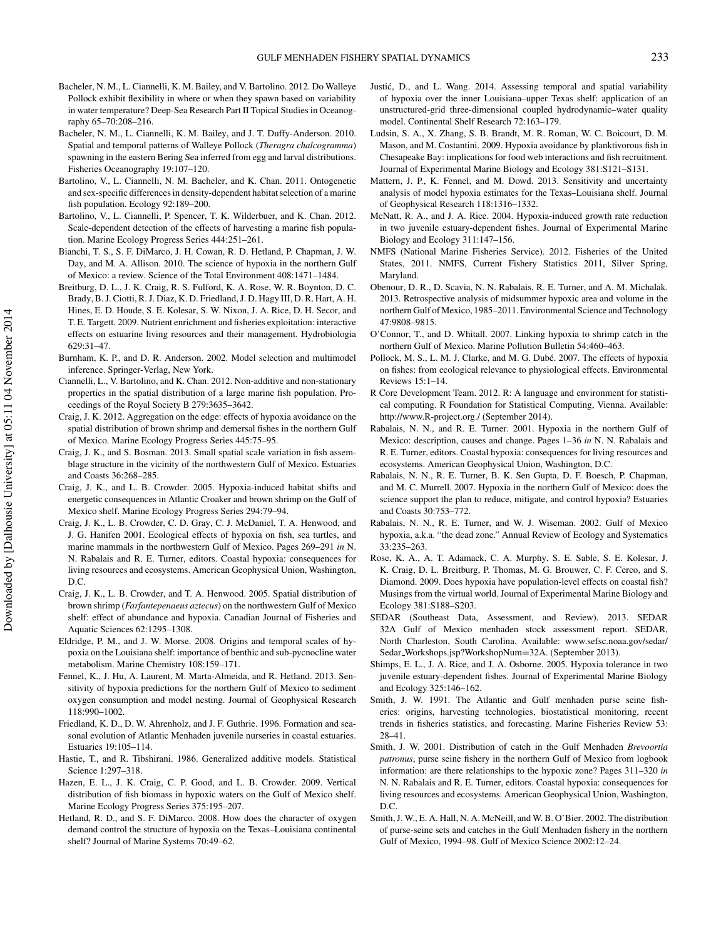- Bacheler, N. M., L. Ciannelli, K. M. Bailey, and V. Bartolino. 2012. Do Walleye Pollock exhibit flexibility in where or when they spawn based on variability in water temperature? Deep-Sea Research Part II Topical Studies in Oceanography 65–70:208–216.
- Bacheler, N. M., L. Ciannelli, K. M. Bailey, and J. T. Duffy-Anderson. 2010. Spatial and temporal patterns of Walleye Pollock (*Theragra chalcogramma*) spawning in the eastern Bering Sea inferred from egg and larval distributions. Fisheries Oceanography 19:107–120.
- Bartolino, V., L. Ciannelli, N. M. Bacheler, and K. Chan. 2011. Ontogenetic and sex-specific differences in density-dependent habitat selection of a marine fish population. Ecology 92:189–200.
- Bartolino, V., L. Ciannelli, P. Spencer, T. K. Wilderbuer, and K. Chan. 2012. Scale-dependent detection of the effects of harvesting a marine fish population. Marine Ecology Progress Series 444:251–261.
- Bianchi, T. S., S. F. DiMarco, J. H. Cowan, R. D. Hetland, P. Chapman, J. W. Day, and M. A. Allison. 2010. The science of hypoxia in the northern Gulf of Mexico: a review. Science of the Total Environment 408:1471–1484.
- Breitburg, D. L., J. K. Craig, R. S. Fulford, K. A. Rose, W. R. Boynton, D. C. Brady, B. J. Ciotti, R. J. Diaz, K. D. Friedland, J. D. Hagy III, D. R. Hart, A. H. Hines, E. D. Houde, S. E. Kolesar, S. W. Nixon, J. A. Rice, D. H. Secor, and T. E. Targett. 2009. Nutrient enrichment and fisheries exploitation: interactive effects on estuarine living resources and their management. Hydrobiologia 629:31–47.
- Burnham, K. P., and D. R. Anderson. 2002. Model selection and multimodel inference. Springer-Verlag, New York.
- Ciannelli, L., V. Bartolino, and K. Chan. 2012. Non-additive and non-stationary properties in the spatial distribution of a large marine fish population. Proceedings of the Royal Society B 279:3635–3642.
- Craig, J. K. 2012. Aggregation on the edge: effects of hypoxia avoidance on the spatial distribution of brown shrimp and demersal fishes in the northern Gulf of Mexico. Marine Ecology Progress Series 445:75–95.
- Craig, J. K., and S. Bosman. 2013. Small spatial scale variation in fish assemblage structure in the vicinity of the northwestern Gulf of Mexico. Estuaries and Coasts 36:268–285.
- Craig, J. K., and L. B. Crowder. 2005. Hypoxia-induced habitat shifts and energetic consequences in Atlantic Croaker and brown shrimp on the Gulf of Mexico shelf. Marine Ecology Progress Series 294:79–94.
- Craig, J. K., L. B. Crowder, C. D. Gray, C. J. McDaniel, T. A. Henwood, and J. G. Hanifen 2001. Ecological effects of hypoxia on fish, sea turtles, and marine mammals in the northwestern Gulf of Mexico. Pages 269–291 *in* N. N. Rabalais and R. E. Turner, editors. Coastal hypoxia: consequences for living resources and ecosystems. American Geophysical Union, Washington, D.C.
- Craig, J. K., L. B. Crowder, and T. A. Henwood. 2005. Spatial distribution of brown shrimp (*Farfantepenaeus aztecus*) on the northwestern Gulf of Mexico shelf: effect of abundance and hypoxia. Canadian Journal of Fisheries and Aquatic Sciences 62:1295–1308.
- Eldridge, P. M., and J. W. Morse. 2008. Origins and temporal scales of hypoxia on the Louisiana shelf: importance of benthic and sub-pycnocline water metabolism. Marine Chemistry 108:159–171.
- Fennel, K., J. Hu, A. Laurent, M. Marta-Almeida, and R. Hetland. 2013. Sensitivity of hypoxia predictions for the northern Gulf of Mexico to sediment oxygen consumption and model nesting. Journal of Geophysical Research 118:990–1002.
- Friedland, K. D., D. W. Ahrenholz, and J. F. Guthrie. 1996. Formation and seasonal evolution of Atlantic Menhaden juvenile nurseries in coastal estuaries. Estuaries 19:105–114.
- Hastie, T., and R. Tibshirani. 1986. Generalized additive models. Statistical Science 1:297–318.
- Hazen, E. L., J. K. Craig, C. P. Good, and L. B. Crowder. 2009. Vertical distribution of fish biomass in hypoxic waters on the Gulf of Mexico shelf. Marine Ecology Progress Series 375:195–207.
- Hetland, R. D., and S. F. DiMarco. 2008. How does the character of oxygen demand control the structure of hypoxia on the Texas–Louisiana continental shelf? Journal of Marine Systems 70:49–62.
- Justic, D., and L. Wang. 2014. Assessing temporal and spatial variability ´ of hypoxia over the inner Louisiana–upper Texas shelf: application of an unstructured-grid three-dimensional coupled hydrodynamic–water quality model. Continental Shelf Research 72:163–179.
- Ludsin, S. A., X. Zhang, S. B. Brandt, M. R. Roman, W. C. Boicourt, D. M. Mason, and M. Costantini. 2009. Hypoxia avoidance by planktivorous fish in Chesapeake Bay: implications for food web interactions and fish recruitment. Journal of Experimental Marine Biology and Ecology 381:S121–S131.
- Mattern, J. P., K. Fennel, and M. Dowd. 2013. Sensitivity and uncertainty analysis of model hypoxia estimates for the Texas–Louisiana shelf. Journal of Geophysical Research 118:1316–1332.
- McNatt, R. A., and J. A. Rice. 2004. Hypoxia-induced growth rate reduction in two juvenile estuary-dependent fishes. Journal of Experimental Marine Biology and Ecology 311:147–156.
- NMFS (National Marine Fisheries Service). 2012. Fisheries of the United States, 2011. NMFS, Current Fishery Statistics 2011, Silver Spring, Maryland.
- Obenour, D. R., D. Scavia, N. N. Rabalais, R. E. Turner, and A. M. Michalak. 2013. Retrospective analysis of midsummer hypoxic area and volume in the northern Gulf of Mexico, 1985–2011. Environmental Science and Technology 47:9808–9815.
- O'Connor, T., and D. Whitall. 2007. Linking hypoxia to shrimp catch in the northern Gulf of Mexico. Marine Pollution Bulletin 54:460–463.
- Pollock, M. S., L. M. J. Clarke, and M. G. Dubé. 2007. The effects of hypoxia on fishes: from ecological relevance to physiological effects. Environmental Reviews 15:1–14.
- R Core Development Team. 2012. R: A language and environment for statistical computing. R Foundation for Statistical Computing, Vienna. Available: http://www.R-project.org./ (September 2014).
- Rabalais, N. N., and R. E. Turner. 2001. Hypoxia in the northern Gulf of Mexico: description, causes and change. Pages 1–36 *in* N. N. Rabalais and R. E. Turner, editors. Coastal hypoxia: consequences for living resources and ecosystems. American Geophysical Union, Washington, D.C.
- Rabalais, N. N., R. E. Turner, B. K. Sen Gupta, D. F. Boesch, P. Chapman, and M. C. Murrell. 2007. Hypoxia in the northern Gulf of Mexico: does the science support the plan to reduce, mitigate, and control hypoxia? Estuaries and Coasts 30:753–772.
- Rabalais, N. N., R. E. Turner, and W. J. Wiseman. 2002. Gulf of Mexico hypoxia, a.k.a. "the dead zone." Annual Review of Ecology and Systematics 33:235–263.
- Rose, K. A., A. T. Adamack, C. A. Murphy, S. E. Sable, S. E. Kolesar, J. K. Craig, D. L. Breitburg, P. Thomas, M. G. Brouwer, C. F. Cerco, and S. Diamond. 2009. Does hypoxia have population-level effects on coastal fish? Musings from the virtual world. Journal of Experimental Marine Biology and Ecology 381:S188–S203.
- SEDAR (Southeast Data, Assessment, and Review). 2013. SEDAR 32A Gulf of Mexico menhaden stock assessment report. SEDAR, North Charleston, South Carolina. Available: www.sefsc.noaa.gov/sedar/ Sedar Workshops.jsp?WorkshopNum=32A. (September 2013).
- Shimps, E. L., J. A. Rice, and J. A. Osborne. 2005. Hypoxia tolerance in two juvenile estuary-dependent fishes. Journal of Experimental Marine Biology and Ecology 325:146–162.
- Smith, J. W. 1991. The Atlantic and Gulf menhaden purse seine fisheries: origins, harvesting technologies, biostatistical monitoring, recent trends in fisheries statistics, and forecasting. Marine Fisheries Review 53: 28–41.
- Smith, J. W. 2001. Distribution of catch in the Gulf Menhaden *Brevoortia patronus*, purse seine fishery in the northern Gulf of Mexico from logbook information: are there relationships to the hypoxic zone? Pages 311–320 *in* N. N. Rabalais and R. E. Turner, editors. Coastal hypoxia: consequences for living resources and ecosystems. American Geophysical Union, Washington, D.C.
- Smith, J. W., E. A. Hall, N. A. McNeill, and W. B. O'Bier. 2002. The distribution of purse-seine sets and catches in the Gulf Menhaden fishery in the northern Gulf of Mexico, 1994–98. Gulf of Mexico Science 2002:12–24.